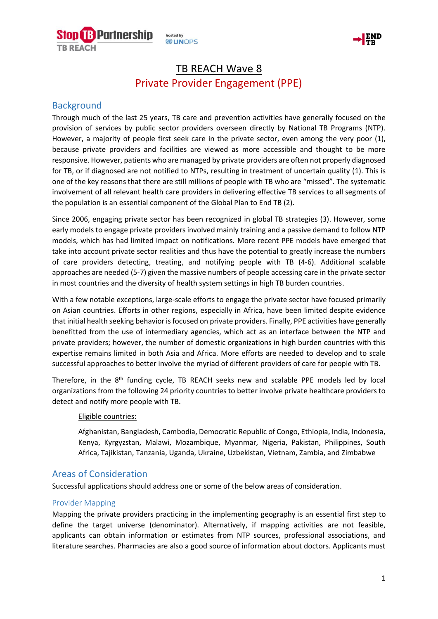

hosted by **DUNOPS** 



# TB REACH Wave 8 Private Provider Engagement (PPE)

### **Background**

Through much of the last 25 years, TB care and prevention activities have generally focused on the provision of services by public sector providers overseen directly by National TB Programs (NTP). However, a majority of people first seek care in the private sector, even among the very poor (1), because private providers and facilities are viewed as more accessible and thought to be more responsive. However, patients who are managed by private providers are often not properly diagnosed for TB, or if diagnosed are not notified to NTPs, resulting in treatment of uncertain quality (1). This is one of the key reasons that there are still millions of people with TB who are "missed". The systematic involvement of all relevant health care providers in delivering effective TB services to all segments of the population is an essential component of the Global Plan to End TB (2).

Since 2006, engaging private sector has been recognized in global TB strategies (3). However, some early models to engage private providers involved mainly training and a passive demand to follow NTP models, which has had limited impact on notifications. More recent PPE models have emerged that take into account private sector realities and thus have the potential to greatly increase the numbers of care providers detecting, treating, and notifying people with TB (4-6). Additional scalable approaches are needed (5-7) given the massive numbers of people accessing care in the private sector in most countries and the diversity of health system settings in high TB burden countries.

With a few notable exceptions, large-scale efforts to engage the private sector have focused primarily on Asian countries. Efforts in other regions, especially in Africa, have been limited despite evidence that initial health seeking behavior is focused on private providers. Finally, PPE activities have generally benefitted from the use of intermediary agencies, which act as an interface between the NTP and private providers; however, the number of domestic organizations in high burden countries with this expertise remains limited in both Asia and Africa. More efforts are needed to develop and to scale successful approaches to better involve the myriad of different providers of care for people with TB.

Therefore, in the 8<sup>th</sup> funding cycle, TB REACH seeks new and scalable PPE models led by local organizations from the following 24 priority countries to better involve private healthcare providers to detect and notify more people with TB.

#### Eligible countries:

Afghanistan, Bangladesh, Cambodia, Democratic Republic of Congo, Ethiopia, India, Indonesia, Kenya, Kyrgyzstan, Malawi, Mozambique, Myanmar, Nigeria, Pakistan, Philippines, South Africa, Tajikistan, Tanzania, Uganda, Ukraine, Uzbekistan, Vietnam, Zambia, and Zimbabwe

### Areas of Consideration

Successful applications should address one or some of the below areas of consideration.

#### Provider Mapping

Mapping the private providers practicing in the implementing geography is an essential first step to define the target universe (denominator). Alternatively, if mapping activities are not feasible, applicants can obtain information or estimates from NTP sources, professional associations, and literature searches. Pharmacies are also a good source of information about doctors. Applicants must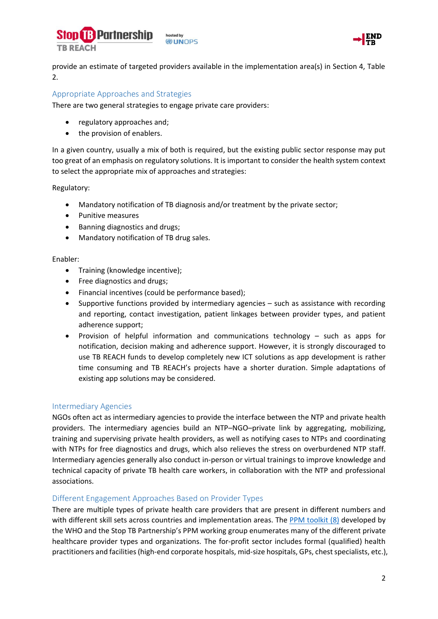



provide an estimate of targeted providers available in the implementation area(s) in Section 4, Table 2.

#### Appropriate Approaches and Strategies

There are two general strategies to engage private care providers:

- regulatory approaches and;
- the provision of enablers.

In a given country, usually a mix of both is required, but the existing public sector response may put too great of an emphasis on regulatory solutions. It is important to consider the health system context to select the appropriate mix of approaches and strategies:

Regulatory:

- Mandatory notification of TB diagnosis and/or treatment by the private sector;
- Punitive measures
- Banning diagnostics and drugs;
- Mandatory notification of TB drug sales.

#### Enabler:

- Training (knowledge incentive);
- Free diagnostics and drugs;
- Financial incentives (could be performance based);
- Supportive functions provided by intermediary agencies such as assistance with recording and reporting, contact investigation, patient linkages between provider types, and patient adherence support;
- Provision of helpful information and communications technology such as apps for notification, decision making and adherence support. However, it is strongly discouraged to use TB REACH funds to develop completely new ICT solutions as app development is rather time consuming and TB REACH's projects have a shorter duration. Simple adaptations of existing app solutions may be considered.

#### Intermediary Agencies

NGOs often act as intermediary agencies to provide the interface between the NTP and private health providers. The intermediary agencies build an NTP–NGO–private link by aggregating, mobilizing, training and supervising private health providers, as well as notifying cases to NTPs and coordinating with NTPs for free diagnostics and drugs, which also relieves the stress on overburdened NTP staff. Intermediary agencies generally also conduct in-person or virtual trainings to improve knowledge and technical capacity of private TB health care workers, in collaboration with the NTP and professional associations.

#### Different Engagement Approaches Based on Provider Types

There are multiple types of private health care providers that are present in different numbers and with different skill sets across countries and implementation areas. The [PPM toolkit](http://www.who.int/tb/publications/tb-publicprivate-toolkit/en/) (8) developed by the WHO and the Stop TB Partnership's PPM working group enumerates many of the different private healthcare provider types and organizations. The for-profit sector includes formal (qualified) health practitioners and facilities (high-end corporate hospitals, mid-size hospitals, GPs, chest specialists, etc.),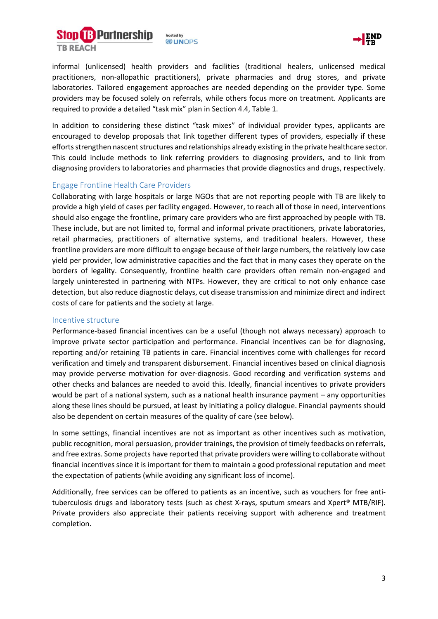



informal (unlicensed) health providers and facilities (traditional healers, unlicensed medical practitioners, non-allopathic practitioners), private pharmacies and drug stores, and private laboratories. Tailored engagement approaches are needed depending on the provider type. Some providers may be focused solely on referrals, while others focus more on treatment. Applicants are required to provide a detailed "task mix" plan in Section 4.4, Table 1.

In addition to considering these distinct "task mixes" of individual provider types, applicants are encouraged to develop proposals that link together different types of providers, especially if these efforts strengthen nascent structures and relationships already existing in the private healthcare sector. This could include methods to link referring providers to diagnosing providers, and to link from diagnosing providers to laboratories and pharmacies that provide diagnostics and drugs, respectively.

#### Engage Frontline Health Care Providers

Collaborating with large hospitals or large NGOs that are not reporting people with TB are likely to provide a high yield of cases per facility engaged. However, to reach all of those in need, interventions should also engage the frontline, primary care providers who are first approached by people with TB. These include, but are not limited to, formal and informal private practitioners, private laboratories, retail pharmacies, practitioners of alternative systems, and traditional healers. However, these frontline providers are more difficult to engage because of their large numbers, the relatively low case yield per provider, low administrative capacities and the fact that in many cases they operate on the borders of legality. Consequently, frontline health care providers often remain non-engaged and largely uninterested in partnering with NTPs. However, they are critical to not only enhance case detection, but also reduce diagnostic delays, cut disease transmission and minimize direct and indirect costs of care for patients and the society at large.

#### Incentive structure

Performance-based financial incentives can be a useful (though not always necessary) approach to improve private sector participation and performance. Financial incentives can be for diagnosing, reporting and/or retaining TB patients in care. Financial incentives come with challenges for record verification and timely and transparent disbursement. Financial incentives based on clinical diagnosis may provide perverse motivation for over-diagnosis. Good recording and verification systems and other checks and balances are needed to avoid this. Ideally, financial incentives to private providers would be part of a national system, such as a national health insurance payment – any opportunities along these lines should be pursued, at least by initiating a policy dialogue. Financial payments should also be dependent on certain measures of the quality of care (see below).

In some settings, financial incentives are not as important as other incentives such as motivation, public recognition, moral persuasion, provider trainings, the provision of timely feedbacks on referrals, and free extras. Some projects have reported that private providers were willing to collaborate without financial incentives since it is important for them to maintain a good professional reputation and meet the expectation of patients (while avoiding any significant loss of income).

Additionally, free services can be offered to patients as an incentive, such as vouchers for free antituberculosis drugs and laboratory tests (such as chest X-rays, sputum smears and Xpert® MTB/RIF). Private providers also appreciate their patients receiving support with adherence and treatment completion.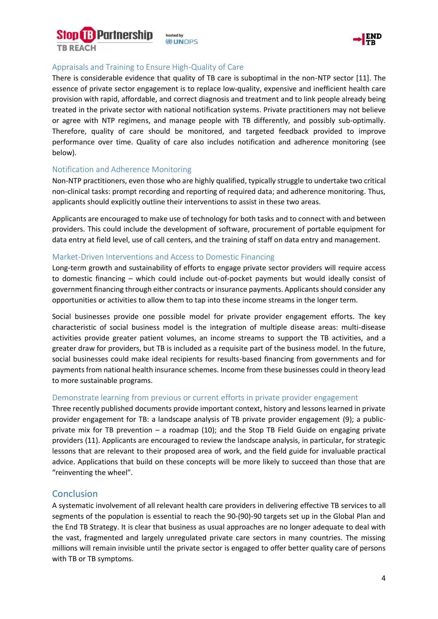



#### Appraisals and Training to Ensure High-Quality of Care

hosted by **DUNOPS** 

There is considerable evidence that quality of TB care is suboptimal in the non-NTP sector [11]. The essence of private sector engagement is to replace low-quality, expensive and inefficient health care provision with rapid, affordable, and correct diagnosis and treatment and to link people already being treated in the private sector with national notification systems. Private practitioners may not believe or agree with NTP regimens, and manage people with TB differently, and possibly sub-optimally. Therefore, quality of care should be monitored, and targeted feedback provided to improve performance over time. Quality of care also includes notification and adherence monitoring (see below).

#### Notification and Adherence Monitoring

Non-NTP practitioners, even those who are highly qualified, typically struggle to undertake two critical non-clinical tasks: prompt recording and reporting of required data; and adherence monitoring. Thus, applicants should explicitly outline their interventions to assist in these two areas.

Applicants are encouraged to make use of technology for both tasks and to connect with and between providers. This could include the development of software, procurement of portable equipment for data entry at field level, use of call centers, and the training of staff on data entry and management.

#### Market-Driven Interventions and Access to Domestic Financing

Long-term growth and sustainability of efforts to engage private sector providers will require access to domestic financing – which could include out-of-pocket payments but would ideally consist of government financing through either contracts or insurance payments. Applicants should consider any opportunities or activities to allow them to tap into these income streams in the longer term.

Social businesses provide one possible model for private provider engagement efforts. The key characteristic of social business model is the integration of multiple disease areas: multi-disease activities provide greater patient volumes, an income streams to support the TB activities, and a greater draw for providers, but TB is included as a requisite part of the business model. In the future, social businesses could make ideal recipients for results-based financing from governments and for payments from national health insurance schemes. Income from these businesses could in theory lead to more sustainable programs.

#### Demonstrate learning from previous or current efforts in private provider engagement

Three recently published documents provide important context, history and lessons learned in private provider engagement for TB: a landscape analysis of TB private provider engagement (9); a publicprivate mix for TB prevention – a roadmap (10); and the Stop TB Field Guide on engaging private providers (11). Applicants are encouraged to review the landscape analysis, in particular, for strategic lessons that are relevant to their proposed area of work, and the field guide for invaluable practical advice. Applications that build on these concepts will be more likely to succeed than those that are "reinventing the wheel".

#### **Conclusion**

A systematic involvement of all relevant health care providers in delivering effective TB services to all segments of the population is essential to reach the 90-(90)-90 targets set up in the Global Plan and the End TB Strategy. It is clear that business as usual approaches are no longer adequate to deal with the vast, fragmented and largely unregulated private care sectors in many countries. The missing millions will remain invisible until the private sector is engaged to offer better quality care of persons with TB or TB symptoms.